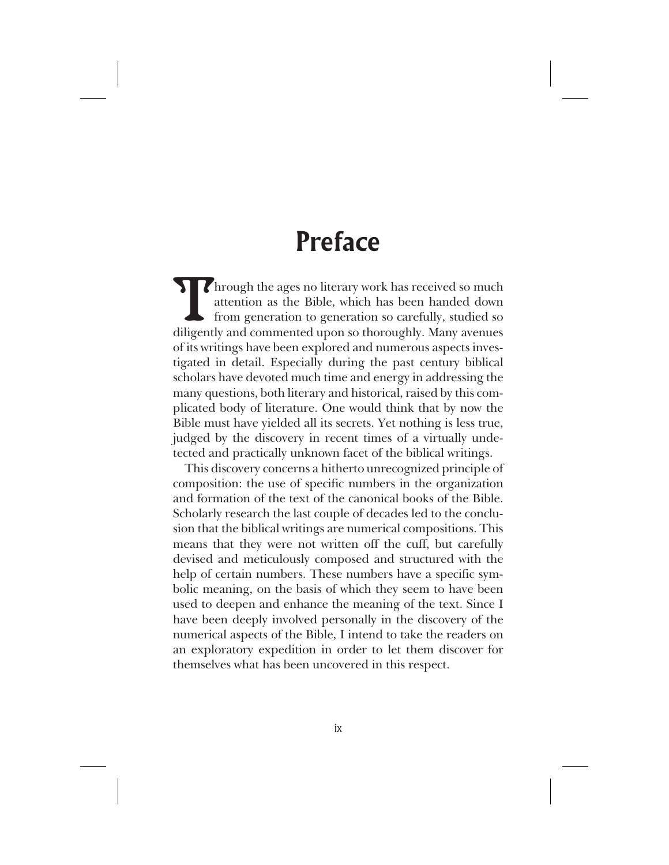## **Preface**

**Through the ages no literary work has received so much** attention as the Bible, which has been handed down from generation to generation so carefully, studied so diligently and commented upon so thoroughly. Many avenues of its writings have been explored and numerous aspects investigated in detail. Especially during the past century biblical scholars have devoted much time and energy in addressing the many questions, both literary and historical, raised by this complicated body of literature. One would think that by now the Bible must have yielded all its secrets. Yet nothing is less true, judged by the discovery in recent times of a virtually undetected and practically unknown facet of the biblical writings.

This discovery concerns a hitherto unrecognized principle of composition: the use of specific numbers in the organization and formation of the text of the canonical books of the Bible. Scholarly research the last couple of decades led to the conclusion that the biblical writings are numerical compositions. This means that they were not written off the cuff, but carefully devised and meticulously composed and structured with the help of certain numbers. These numbers have a specific symbolic meaning, on the basis of which they seem to have been used to deepen and enhance the meaning of the text. Since I have been deeply involved personally in the discovery of the numerical aspects of the Bible, I intend to take the readers on an exploratory expedition in order to let them discover for themselves what has been uncovered in this respect.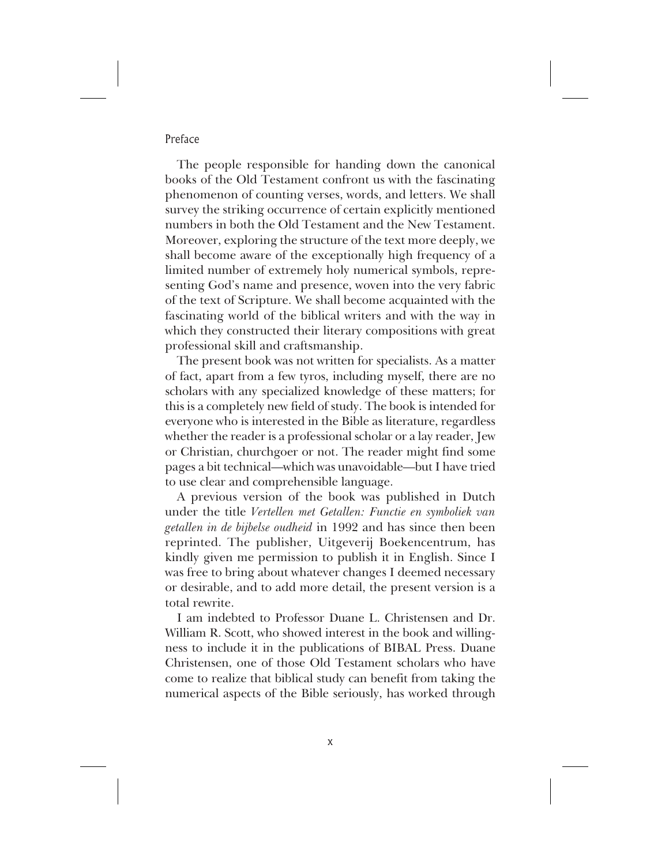## Preface

The people responsible for handing down the canonical books of the Old Testament confront us with the fascinating phenomenon of counting verses, words, and letters. We shall survey the striking occurrence of certain explicitly mentioned numbers in both the Old Testament and the New Testament. Moreover, exploring the structure of the text more deeply, we shall become aware of the exceptionally high frequency of a limited number of extremely holy numerical symbols, representing God's name and presence, woven into the very fabric of the text of Scripture. We shall become acquainted with the fascinating world of the biblical writers and with the way in which they constructed their literary compositions with great professional skill and craftsmanship.

The present book was not written for specialists. As a matter of fact, apart from a few tyros, including myself, there are no scholars with any specialized knowledge of these matters; for this is a completely new field of study. The book is intended for everyone who is interested in the Bible as literature, regardless whether the reader is a professional scholar or a lay reader, Jew or Christian, churchgoer or not. The reader might find some pages a bit technical—which was unavoidable—but I have tried to use clear and comprehensible language.

A previous version of the book was published in Dutch under the title *Vertellen met Getallen: Functie en symboliek van getallen in de bijbelse oudheid* in 1992 and has since then been reprinted. The publisher, Uitgeverij Boekencentrum, has kindly given me permission to publish it in English. Since I was free to bring about whatever changes I deemed necessary or desirable, and to add more detail, the present version is a total rewrite.

I am indebted to Professor Duane L. Christensen and Dr. William R. Scott, who showed interest in the book and willingness to include it in the publications of BIBAL Press. Duane Christensen, one of those Old Testament scholars who have come to realize that biblical study can benefit from taking the numerical aspects of the Bible seriously, has worked through